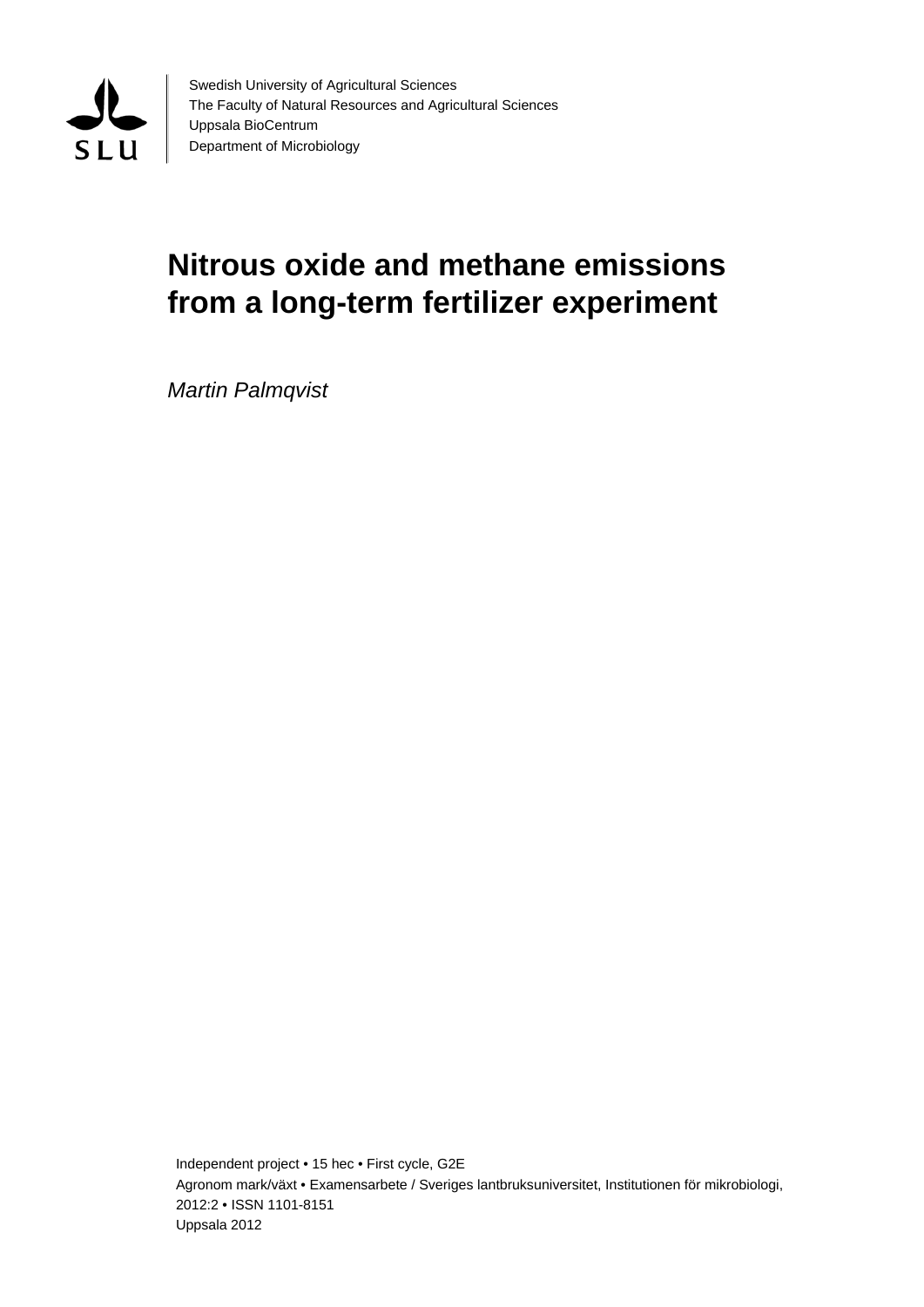

Swedish University of Agricultural Sciences The Faculty of Natural Resources and Agricultural Sciences Uppsala BioCentrum Department of Microbiology

# **Nitrous oxide and methane emissions from a long-term fertilizer experiment**

*Martin Palmqvist*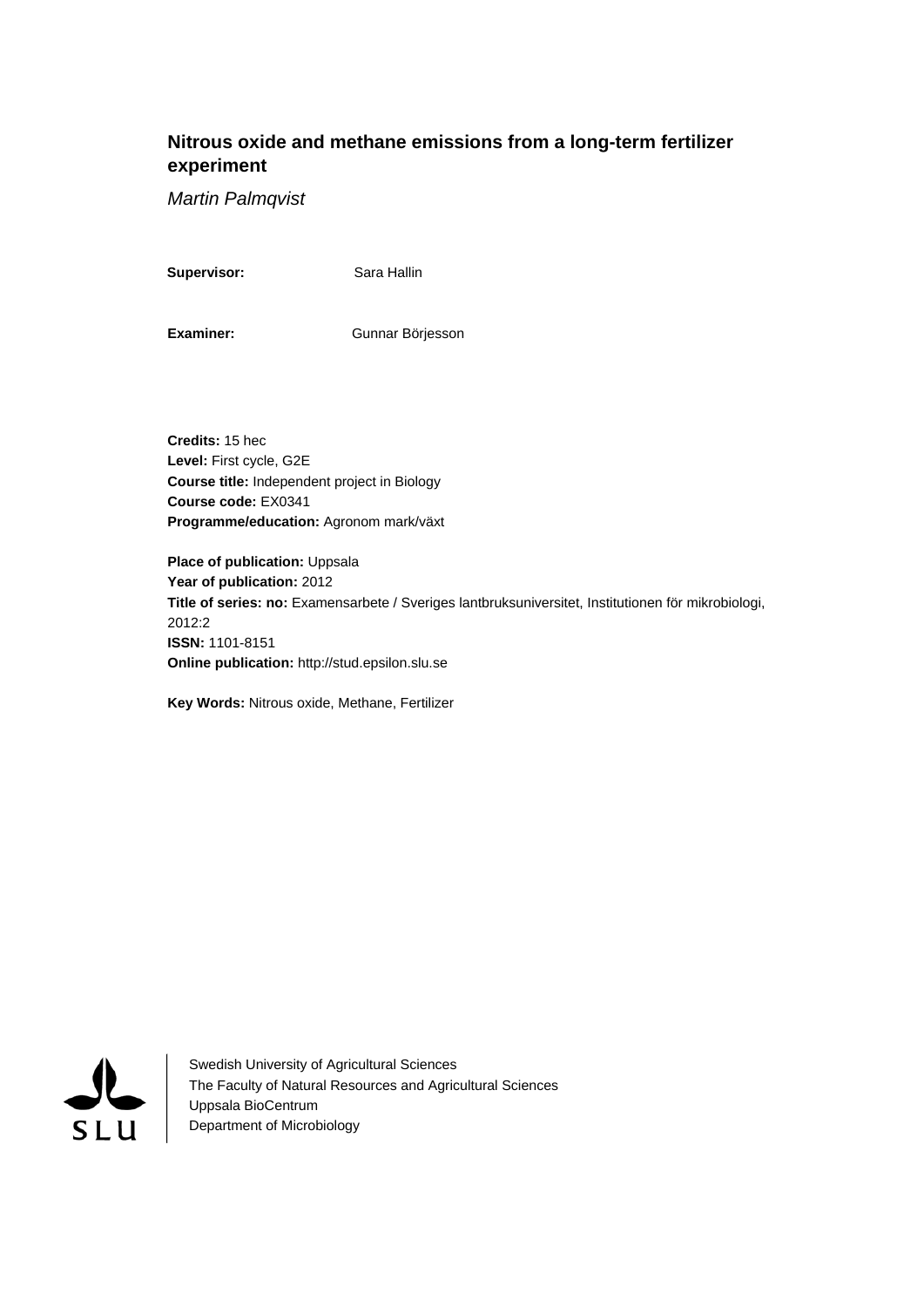# **Nitrous oxide and methane emissions from a long-term fertilizer experiment**

*Martin Palmqvist* 

**Supervisor:** Sara Hallin

Examiner: Gunnar Börjesson

**Credits:** 15 hec **Level:** First cycle, G2E **Course title:** Independent project in Biology **Course code:** EX0341 **Programme/education:** Agronom mark/växt

**Place of publication: Uppsala Year of publication:** 2012 **Title of series: no:** Examensarbete / Sveriges lantbruksuniversitet, Institutionen för mikrobiologi, 2012:2 **ISSN:** 1101-8151 **Online publication:** http://stud.epsilon.slu.se

**Key Words:** Nitrous oxide, Methane, Fertilizer



Swedish University of Agricultural Sciences The Faculty of Natural Resources and Agricultural Sciences Uppsala BioCentrum Department of Microbiology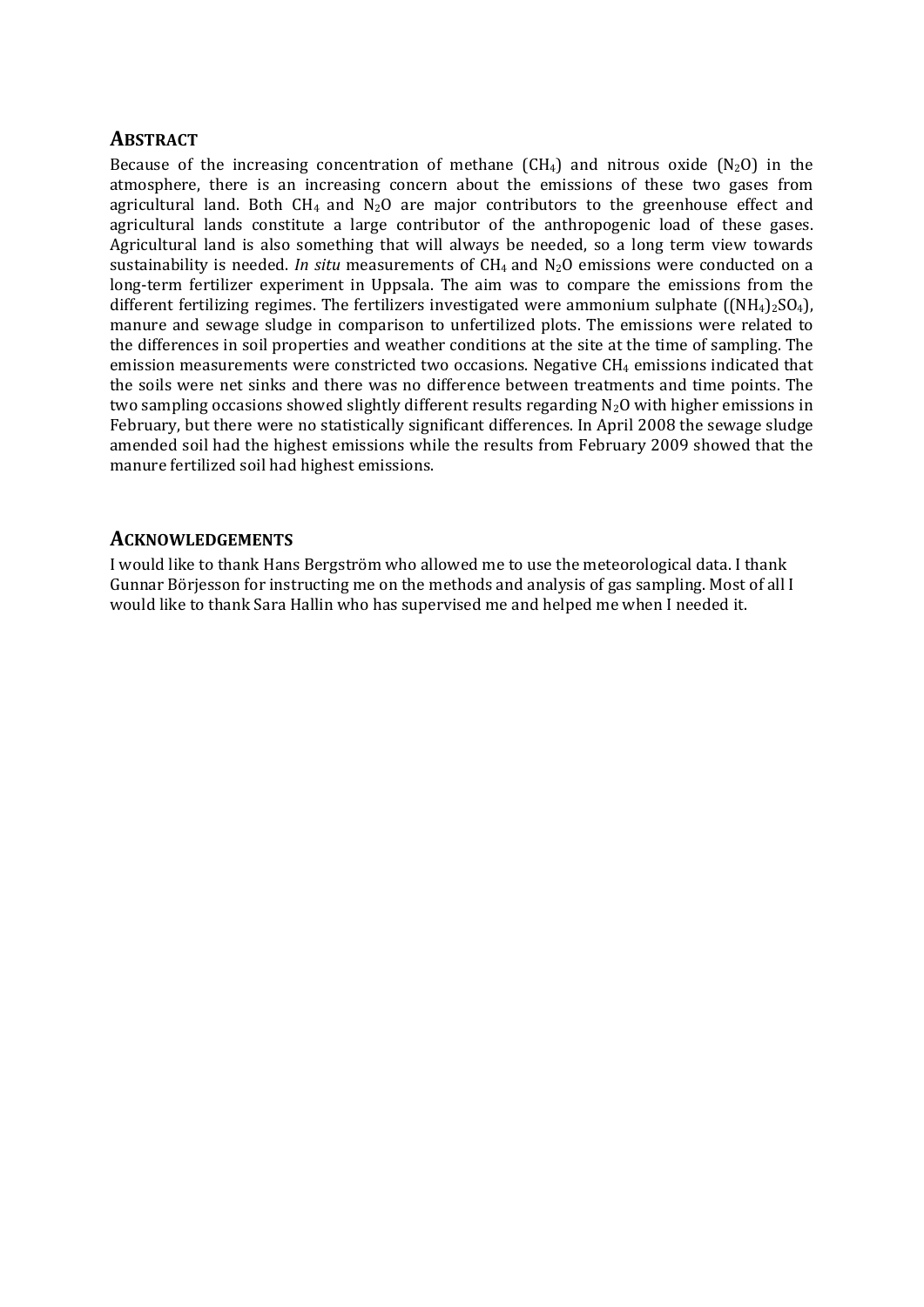## **ABSTRACT**

Because of the increasing concentration of methane  $(CH_4)$  and nitrous oxide  $(N_2O)$  in the atmosphere, there is an increasing concern about the emissions of these two gases from agricultural land. Both  $CH_4$  and  $N_2O$  are major contributors to the greenhouse effect and agricultural lands constitute a large contributor of the anthropogenic load of these gases. Agricultural land is also something that will always be needed, so a long term view towards sustainability is needed. *In situ* measurements of CH4 and N2O emissions were conducted on a long-term fertilizer experiment in Uppsala. The aim was to compare the emissions from the different fertilizing regimes. The fertilizers investigated were ammonium sulphate  $((NH_4)_2SO_4)$ , manure and sewage sludge in comparison to unfertilized plots. The emissions were related to the differences in soil properties and weather conditions at the site at the time of sampling. The emission measurements were constricted two occasions. Negative CH<sub>4</sub> emissions indicated that the soils were net sinks and there was no difference between treatments and time points. The two sampling occasions showed slightly different results regarding N2O with higher emissions in February, but there were no statistically significant differences. In April 2008 the sewage sludge amended soil had the highest emissions while the results from February 2009 showed that the manure fertilized soil had highest emissions.

## **ACKNOWLEDGEMENTS**

I would like to thank Hans Bergström who allowed me to use the meteorological data. I thank Gunnar Börjesson for instructing me on the methods and analysis of gas sampling. Most of all I would like to thank Sara Hallin who has supervised me and helped me when I needed it.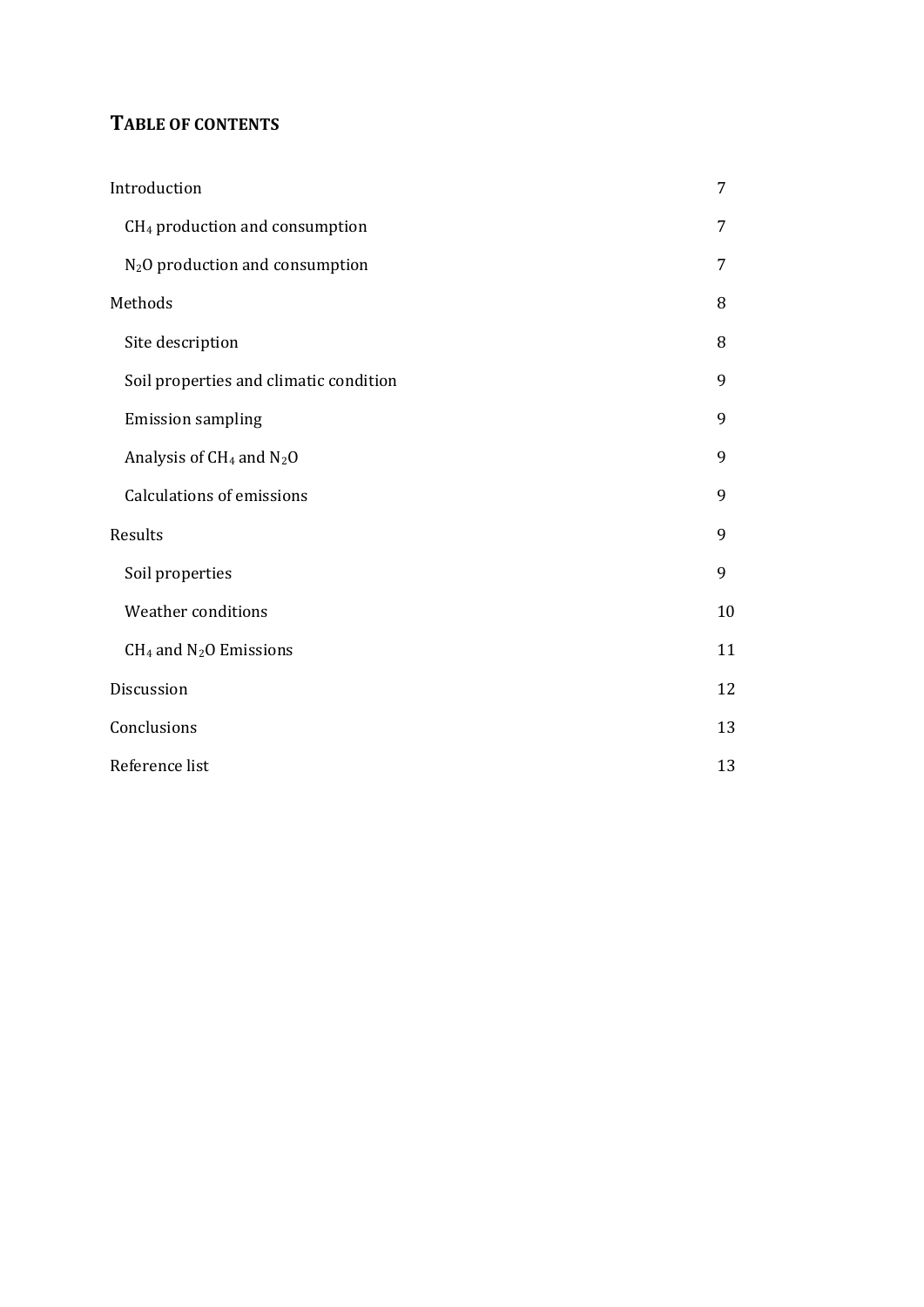# **TABLE OF CONTENTS**

| Introduction                                | 7  |
|---------------------------------------------|----|
| CH <sub>4</sub> production and consumption  | 7  |
| N <sub>2</sub> O production and consumption | 7  |
| Methods                                     | 8  |
| Site description                            | 8  |
| Soil properties and climatic condition      | 9  |
| <b>Emission sampling</b>                    | 9  |
| Analysis of $CH_4$ and $N_2O$               | 9  |
| <b>Calculations of emissions</b>            | 9  |
| Results                                     | 9  |
| Soil properties                             | 9  |
| <b>Weather conditions</b>                   | 10 |
| $CH4$ and N <sub>2</sub> O Emissions        | 11 |
| Discussion                                  | 12 |
| Conclusions                                 | 13 |
| Reference list                              | 13 |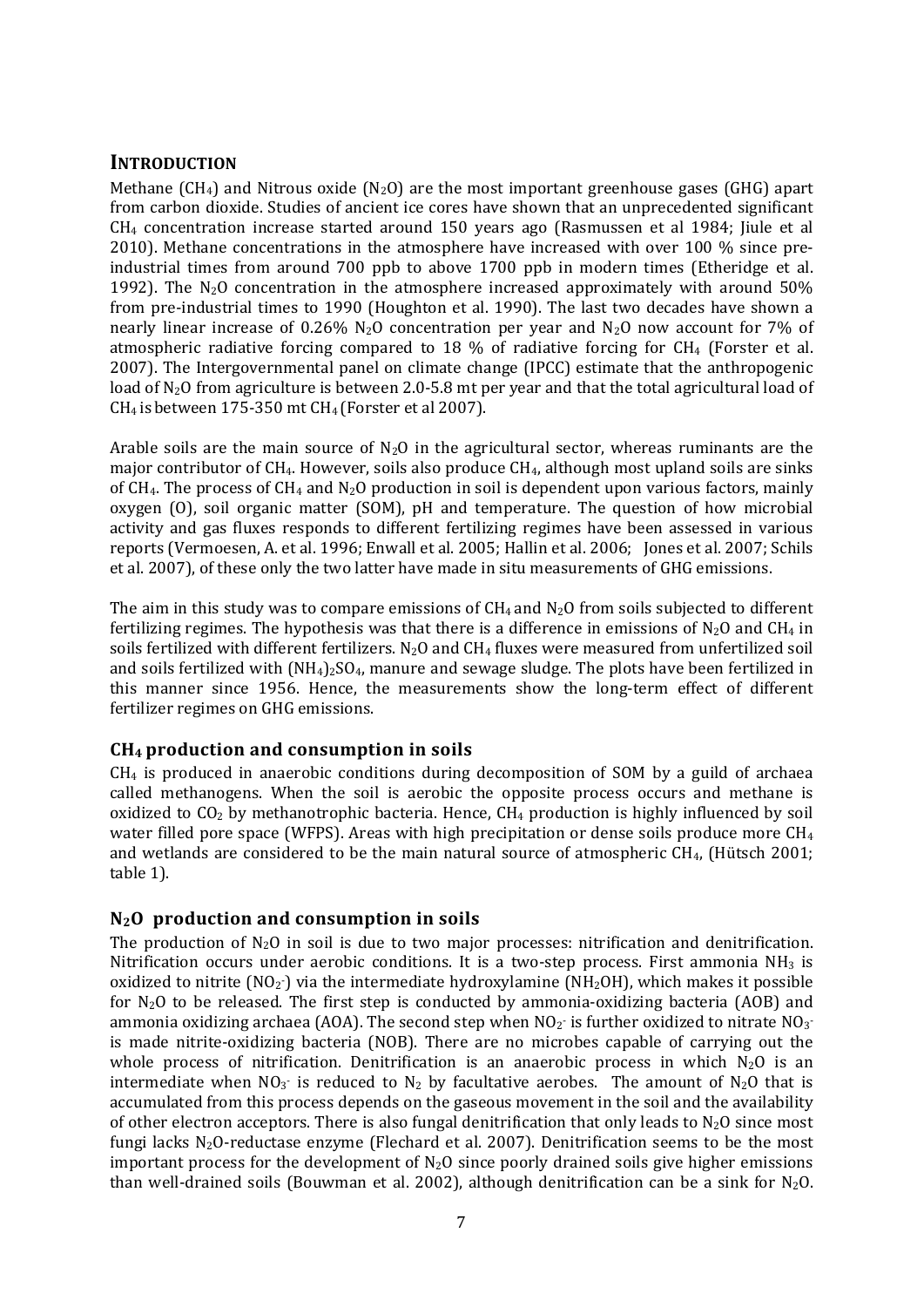# **INTRODUCTION**

Methane (CH<sub>4</sub>) and Nitrous oxide (N<sub>2</sub>O) are the most important greenhouse gases (GHG) apart from carbon dioxide. Studies of ancient ice cores have shown that an unprecedented significant CH4 concentration increase started around 150 years ago (Rasmussen et al 1984; Jiule et al 2010). Methane concentrations in the atmosphere have increased with over 100 % since preindustrial times from around 700 ppb to above 1700 ppb in modern times (Etheridge et al. 1992). The  $N_2O$  concentration in the atmosphere increased approximately with around  $50\%$ from pre-industrial times to 1990 (Houghton et al. 1990). The last two decades have shown a nearly linear increase of 0.26%  $N_2O$  concentration per year and  $N_2O$  now account for 7% of atmospheric radiative forcing compared to 18 % of radiative forcing for CH4 (Forster et al. 2007). The Intergovernmental panel on climate change (IPCC) estimate that the anthropogenic load of N2O from agriculture is between 2.0‐5.8 mt per year and that the total agricultural load of CH4 is between 175‐350 mt CH4 (Forster et al 2007).

Arable soils are the main source of  $N_2O$  in the agricultural sector, whereas ruminants are the major contributor of CH4. However, soils also produce CH4, although most upland soils are sinks of CH<sub>4</sub>. The process of CH<sub>4</sub> and N<sub>2</sub>O production in soil is dependent upon various factors, mainly oxygen (O), soil organic matter (SOM), pH and temperature. The question of how microbial activity and gas fluxes responds to different fertilizing regimes have been assessed in various reports (Vermoesen, A. et al. 1996; Enwall et al. 2005; Hallin et al. 2006; Jones et al. 2007; Schils et al. 2007), of these only the two latter have made in situ measurements of GHG emissions.

The aim in this study was to compare emissions of  $CH_4$  and  $N_2O$  from soils subjected to different fertilizing regimes. The hypothesis was that there is a difference in emissions of  $N_2O$  and CH<sub>4</sub> in soils fertilized with different fertilizers. N<sub>2</sub>O and CH<sub>4</sub> fluxes were measured from unfertilized soil and soils fertilized with  $(NH_4)_2SO_4$ , manure and sewage sludge. The plots have been fertilized in this manner since 1956. Hence, the measurements show the long-term effect of different fertilizer regimes on GHG emissions.

#### **CH4 production and consumption in soils**

 $CH<sub>4</sub>$  is produced in anaerobic conditions during decomposition of SOM by a guild of archaea called methanogens. When the soil is aerobic the opposite process occurs and methane is oxidized to  $CO<sub>2</sub>$  by methanotrophic bacteria. Hence,  $CH<sub>4</sub>$  production is highly influenced by soil water filled pore space (WFPS). Areas with high precipitation or dense soils produce more CH4 and wetlands are considered to be the main natural source of atmospheric CH4, (Hütsch 2001; table 1).

# **N2O production and consumption in soils**

The production of  $N_2O$  in soil is due to two major processes: nitrification and denitrification. Nitrification occurs under aerobic conditions. It is a two-step process. First ammonia  $NH<sub>3</sub>$  is oxidized to nitrite  $(NO<sub>2</sub>)$  via the intermediate hydroxylamine  $(NH<sub>2</sub>OH)$ , which makes it possible for  $N_2O$  to be released. The first step is conducted by ammonia-oxidizing bacteria (AOB) and ammonia oxidizing archaea (AOA). The second step when  $NO<sub>2</sub>$  is further oxidized to nitrate  $NO<sub>3</sub>$ is made nitrite-oxidizing bacteria (NOB). There are no microbes capable of carrying out the whole process of nitrification. Denitrification is an anaerobic process in which  $N_2O$  is an intermediate when  $NO_3$  is reduced to  $N_2$  by facultative aerobes. The amount of  $N_2O$  that is accumulated from this process depends on the gaseous movement in the soil and the availability of other electron acceptors. There is also fungal denitrification that only leads to  $N_2O$  since most fungi lacks  $N_2O$ -reductase enzyme (Flechard et al. 2007). Denitrification seems to be the most important process for the development of  $N_2O$  since poorly drained soils give higher emissions than well-drained soils (Bouwman et al. 2002), although denitrification can be a sink for  $N_2O$ .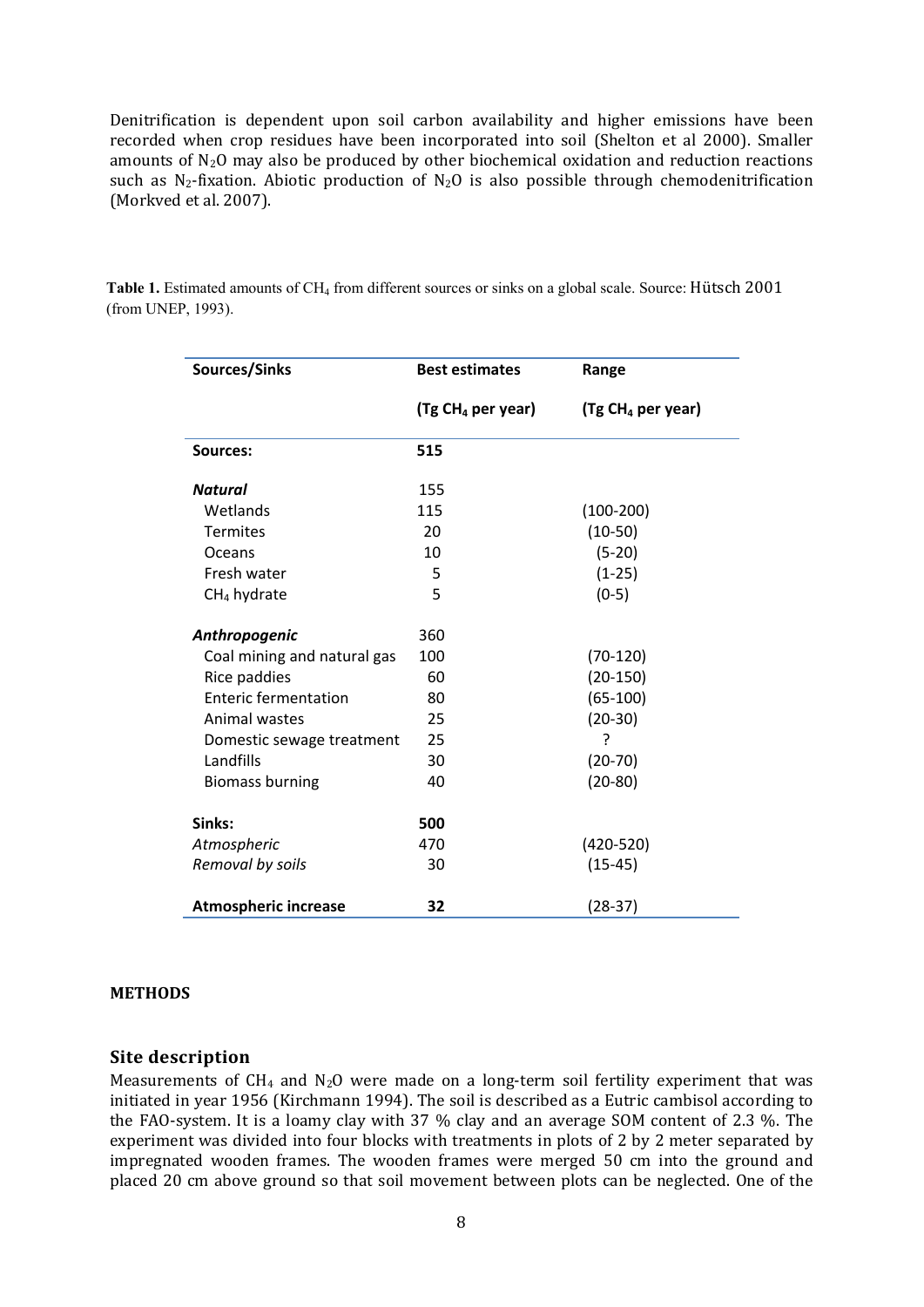Denitrification is dependent upon soil carbon availability and higher emissions have been recorded when crop residues have been incorporated into soil (Shelton et al 2000). Smaller amounts of N2O may also be produced by other biochemical oxidation and reduction reactions such as  $N_2$ -fixation. Abiotic production of  $N_2O$  is also possible through chemodenitrification (Morkved et al. 2007).

| Sources/Sinks               | <b>Best estimates</b>         | Range                         |  |
|-----------------------------|-------------------------------|-------------------------------|--|
|                             | (Tg CH <sub>4</sub> per year) | (Tg CH <sub>4</sub> per year) |  |
| <b>Sources:</b>             | 515                           |                               |  |
| <b>Natural</b>              | 155                           |                               |  |
| Wetlands                    | 115                           | $(100-200)$                   |  |
| <b>Termites</b>             | 20                            | $(10-50)$                     |  |
| Oceans                      | 10                            | $(5-20)$                      |  |
| Fresh water                 | 5                             | $(1-25)$                      |  |
| $CH4$ hydrate               | 5                             | $(0-5)$                       |  |
| Anthropogenic               | 360                           |                               |  |
| Coal mining and natural gas | 100                           | $(70-120)$                    |  |
| Rice paddies                | 60                            | $(20-150)$                    |  |
| <b>Enteric fermentation</b> | 80                            | $(65-100)$                    |  |
| Animal wastes               | 25                            | $(20-30)$                     |  |
| Domestic sewage treatment   | 25                            | ?                             |  |
| Landfills                   | 30                            | $(20-70)$                     |  |
| <b>Biomass burning</b>      | 40                            | $(20-80)$                     |  |
| Sinks:                      | 500                           |                               |  |
| Atmospheric                 | 470                           | $(420 - 520)$                 |  |
| Removal by soils            | 30                            | $(15-45)$                     |  |
| <b>Atmospheric increase</b> | 32                            | $(28-37)$                     |  |

**Table 1.** Estimated amounts of CH4 from different sources or sinks on a global scale. Source: Hütsch 2001 (from UNEP, 1993).

#### **METHODS**

#### **Site description**

Measurements of  $CH_4$  and  $N_2O$  were made on a long-term soil fertility experiment that was initiated in year 1956 (Kirchmann 1994). The soil is described as a Eutric cambisol according to the FAO-system. It is a loamy clay with 37 % clay and an average SOM content of 2.3 %. The experiment was divided into four blocks with treatments in plots of 2 by 2 meter separated by impregnated wooden frames. The wooden frames were merged 50 cm into the ground and placed 20 cm above ground so that soil movement between plots can be neglected. One of the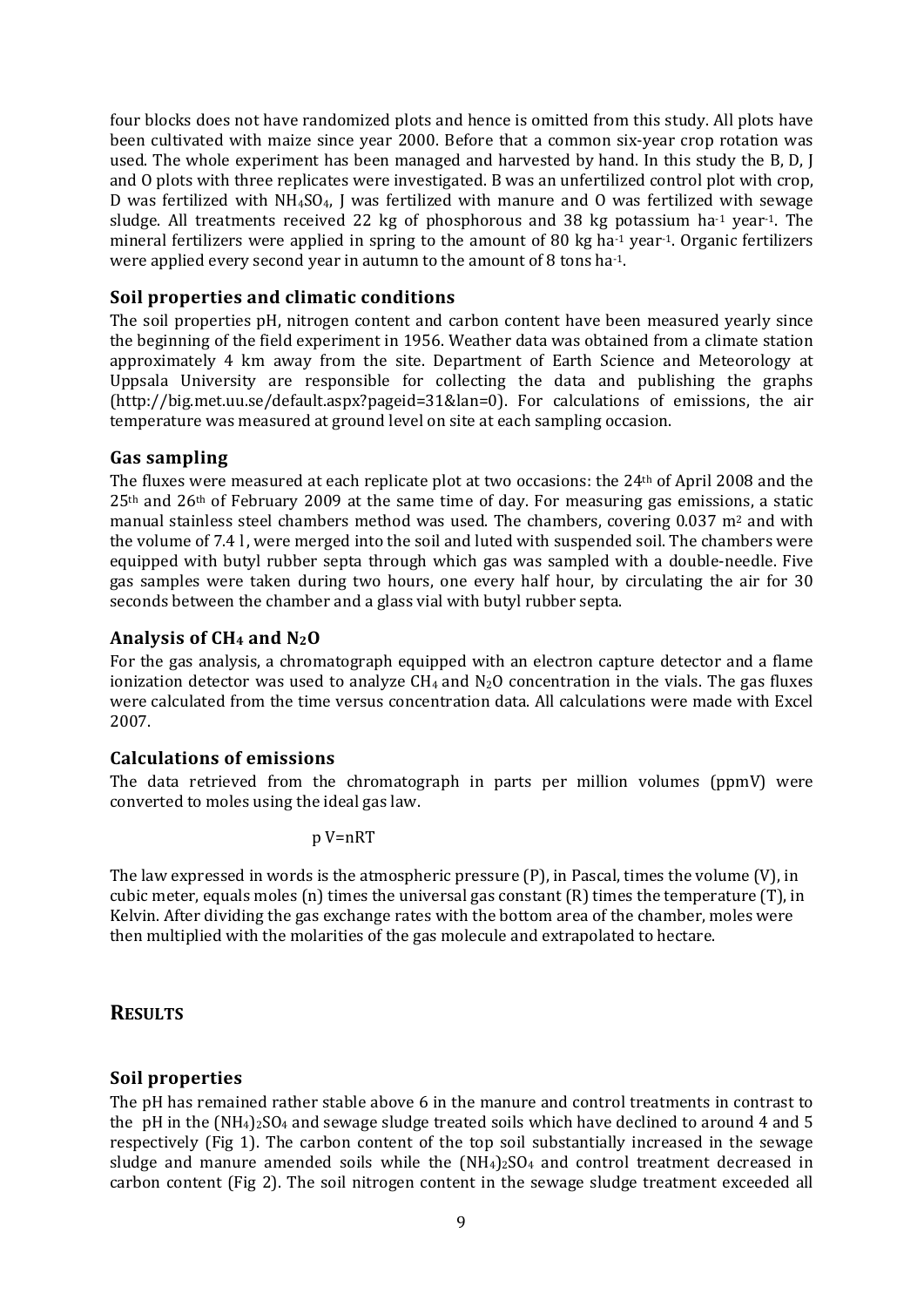four blocks does not have randomized plots and hence is omitted from this study. All plots have been cultivated with maize since year 2000. Before that a common six-year crop rotation was used. The whole experiment has been managed and harvested by hand. In this study the B, D, J and O plots with three replicates were investigated. B was an unfertilized control plot with crop, D was fertilized with  $NH<sub>4</sub>SO<sub>4</sub>$ , J was fertilized with manure and O was fertilized with sewage sludge. All treatments received 22 kg of phosphorous and 38 kg potassium ha<sup>-1</sup> year<sup>-1</sup>. The mineral fertilizers were applied in spring to the amount of 80 kg ha<sup>-1</sup> year<sup>-1</sup>. Organic fertilizers were applied every second year in autumn to the amount of 8 tons ha<sup>-1</sup>.

## **Soil properties and climatic conditions**

The soil properties pH, nitrogen content and carbon content have been measured yearly since the beginning of the field experiment in 1956. Weather data was obtained from a climate station approximately 4 km away from the site. Department of Earth Science and Meteorology at Uppsala University are responsible for collecting the data and publishing the graphs (http://big.met.uu.se/default.aspx?pageid=31&lan=0). For calculations of emissions, the air temperature was measured at ground level on site at each sampling occasion.

#### **Gas sampling**

The fluxes were measured at each replicate plot at two occasions: the 24th of April 2008 and the  $25<sup>th</sup>$  and  $26<sup>th</sup>$  of February 2009 at the same time of day. For measuring gas emissions, a static manual stainless steel chambers method was used. The chambers, covering 0.037 m<sup>2</sup> and with the volume of 7.4 l , were merged into the soil and luted with suspended soil. The chambers were equipped with butyl rubber septa through which gas was sampled with a double‐needle. Five gas samples were taken during two hours, one every half hour, by circulating the air for 30 seconds between the chamber and a glass vial with butyl rubber septa.

#### **Analysis of CH4 and N2O**

For the gas analysis, a chromatograph equipped with an electron capture detector and a flame ionization detector was used to analyze  $CH_4$  and  $N_2O$  concentration in the vials. The gas fluxes were calculated from the time versus concentration data. All calculations were made with Excel 2007.

#### **Calculations of emissions**

The data retrieved from the chromatograph in parts per million volumes (ppmV) were converted to moles using the ideal gas law.

$$
p V=nRT
$$

The law expressed in words is the atmospheric pressure (P), in Pascal, times the volume (V), in cubic meter, equals moles (n) times the universal gas constant (R) times the temperature (T), in Kelvin. After dividing the gas exchange rates with the bottom area of the chamber, moles were then multiplied with the molarities of the gas molecule and extrapolated to hectare.

#### **RESULTS**

#### **Soil properties**

The pH has remained rather stable above 6 in the manure and control treatments in contrast to the pH in the  $(NH_4)_2SO_4$  and sewage sludge treated soils which have declined to around 4 and 5 respectively (Fig 1). The carbon content of the top soil substantially increased in the sewage sludge and manure amended soils while the  $(NH<sub>4</sub>)<sub>2</sub>SO<sub>4</sub>$  and control treatment decreased in carbon content (Fig 2). The soil nitrogen content in the sewage sludge treatment exceeded all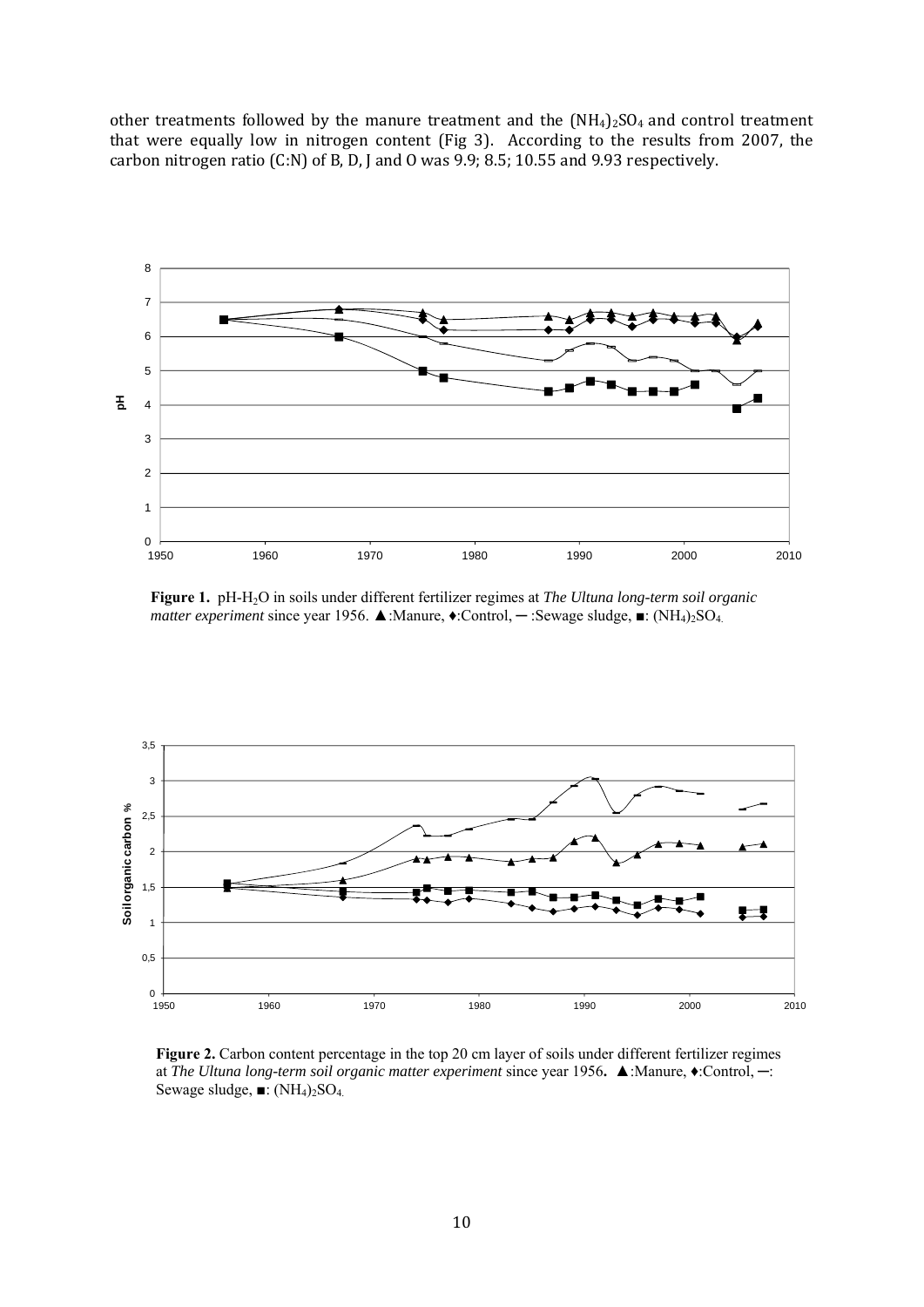other treatments followed by the manure treatment and the  $(NH<sub>4</sub>)<sub>2</sub>SO<sub>4</sub>$  and control treatment that were equally low in nitrogen content (Fig 3). According to the results from 2007, the carbon nitrogen ratio (C:N) of B, D, J and O was 9.9; 8.5; 10.55 and 9.93 respectively.



**Figure 1.** pH-H2O in soils under different fertilizer regimes at *The Ultuna long-term soil organic matter experiment* since year 1956. ▲:Manure, ♦:Control, **─** :Sewage sludge, ■: (NH4)2SO4.



**Figure 2.** Carbon content percentage in the top 20 cm layer of soils under different fertilizer regimes at *The Ultuna long-term soil organic matter experiment* since year 1956**.** ▲:Manure, ♦:Control, **─**: Sewage sludge,  $\blacksquare$ :  $(NH_4)_2SO_4$ .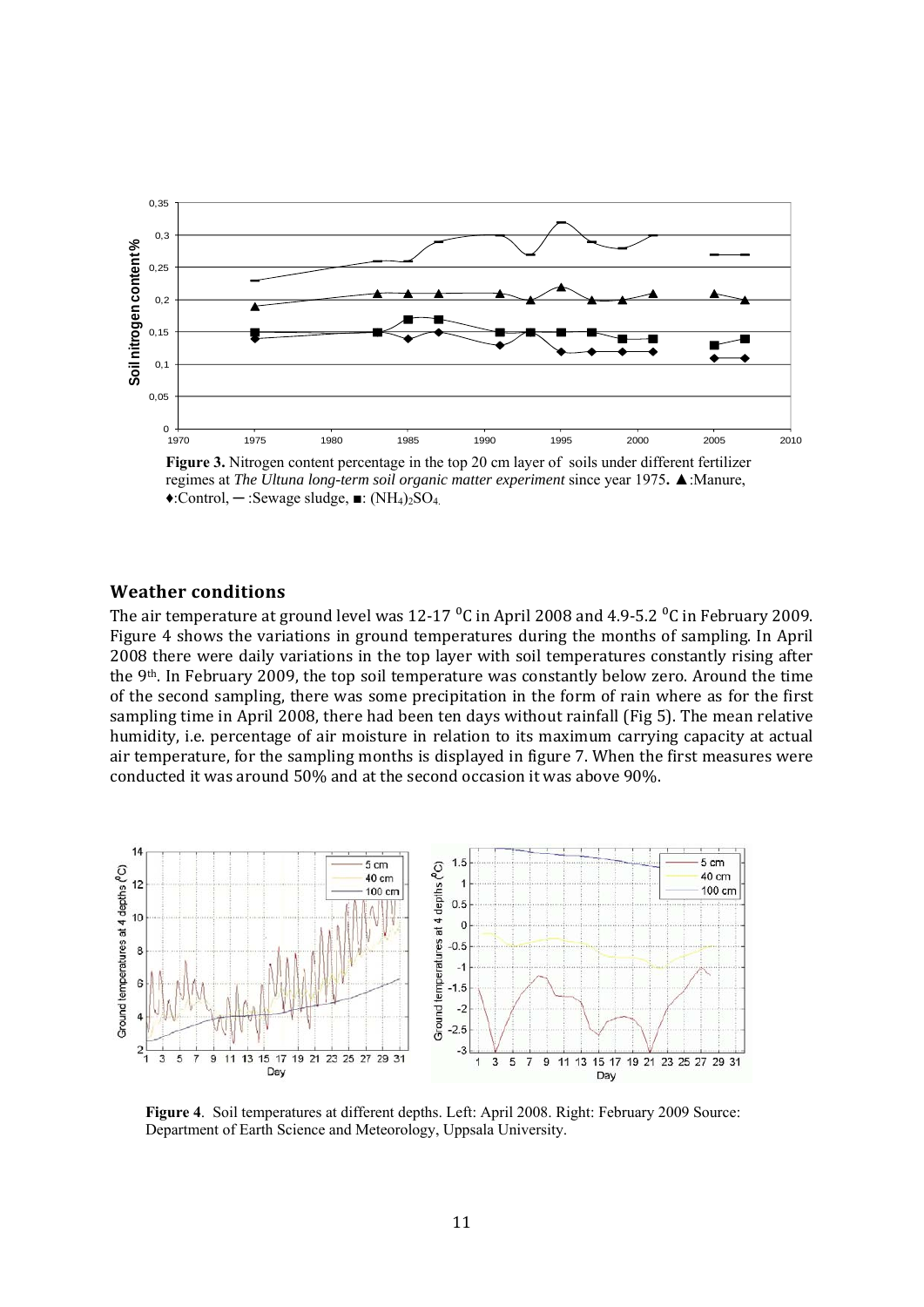

**Figure 3.** Nitrogen content percentage in the top 20 cm layer of soils under different fertilizer regimes at *The Ultuna long-term soil organic matter experiment* since year 1975**.** ▲:Manure, ♦:Control, **─** :Sewage sludge, ■: (NH4)2SO4.

#### **Weather conditions**

The air temperature at ground level was  $12\t{-}17\text{ °C}$  in April 2008 and 4.9-5.2  $\text{ °C}$  in February 2009. Figure 4 shows the variations in ground temperatures during the months of sampling. In April 2008 there were daily variations in the top layer with soil temperatures constantly rising after the 9th. In February 2009, the top soil temperature was constantly below zero. Around the time of the second sampling, there was some precipitation in the form of rain where as for the first sampling time in April 2008, there had been ten days without rainfall (Fig 5). The mean relative humidity, i.e. percentage of air moisture in relation to its maximum carrying capacity at actual air temperature, for the sampling months is displayed in figure 7. When the first measures were conducted it was around 50% and at the second occasion it was above 90%.



**Figure 4**. Soil temperatures at different depths. Left: April 2008. Right: February 2009 Source: Department of Earth Science and Meteorology, Uppsala University.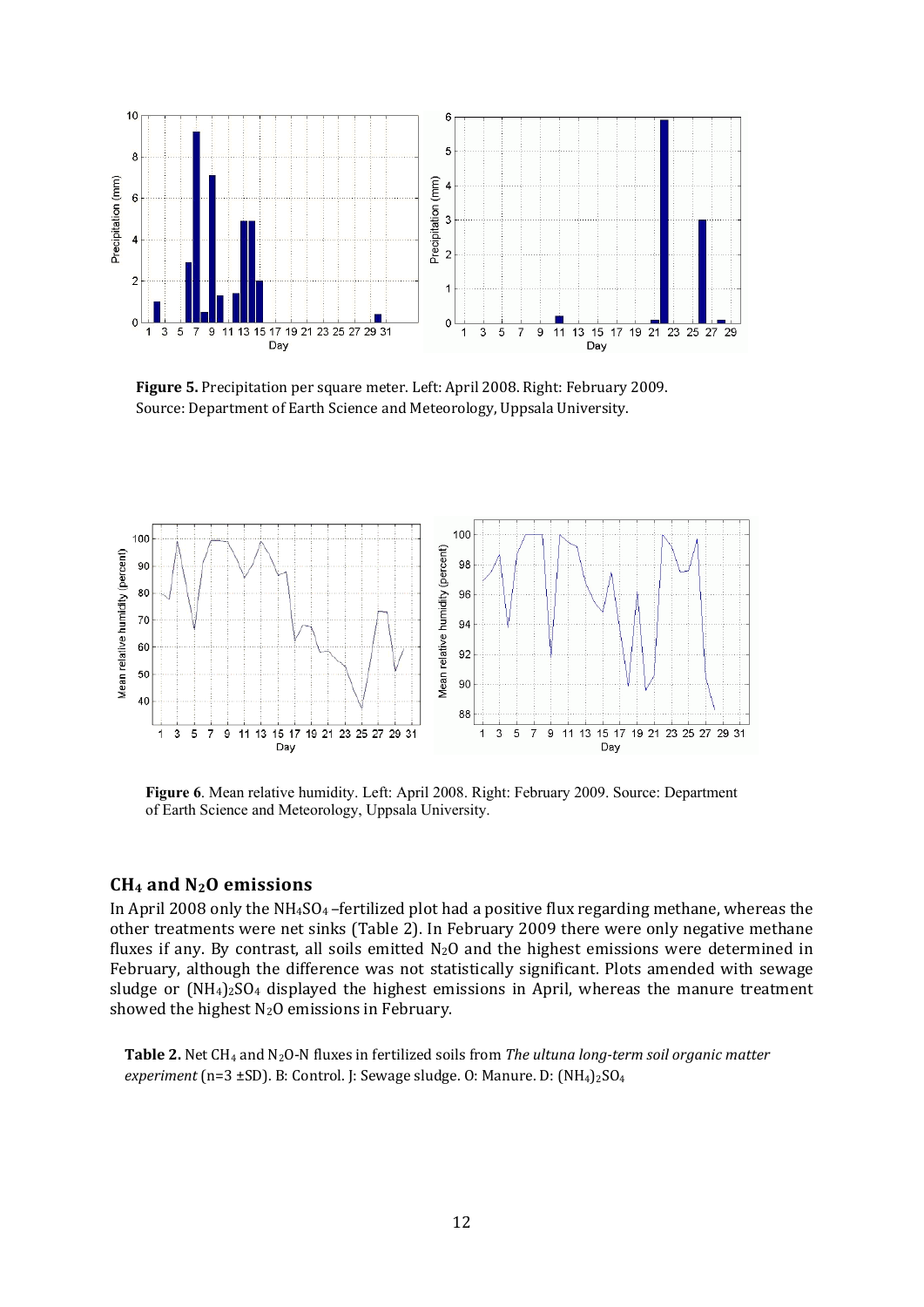

**Figure 5.** Precipitation per square meter. Left: April 2008. Right: February 2009. Source: Department of Earth Science and Meteorology, Uppsala University.



**Figure 6**. Mean relative humidity. Left: April 2008. Right: February 2009. Source: Department of Earth Science and Meteorology, Uppsala University.

#### **CH4 and N2O emissions**

In April 2008 only the  $NH<sub>4</sub>SO<sub>4</sub>$ -fertilized plot had a positive flux regarding methane, whereas the other treatments were net sinks (Table 2). In February 2009 there were only negative methane fluxes if any. By contrast, all soils emitted  $N_2O$  and the highest emissions were determined in February, although the difference was not statistically significant. Plots amended with sewage sludge or  $(NH_4)_2SO_4$  displayed the highest emissions in April, whereas the manure treatment showed the highest  $N_2O$  emissions in February.

 **Table 2.** Net CH4 and N2O‐N fluxes in fertilized soils from *The ultuna longterm soil organic matter experiment* (n=3 ±SD). B: Control. J: Sewage sludge. O: Manure. D: (NH<sub>4</sub>)<sub>2</sub>SO<sub>4</sub>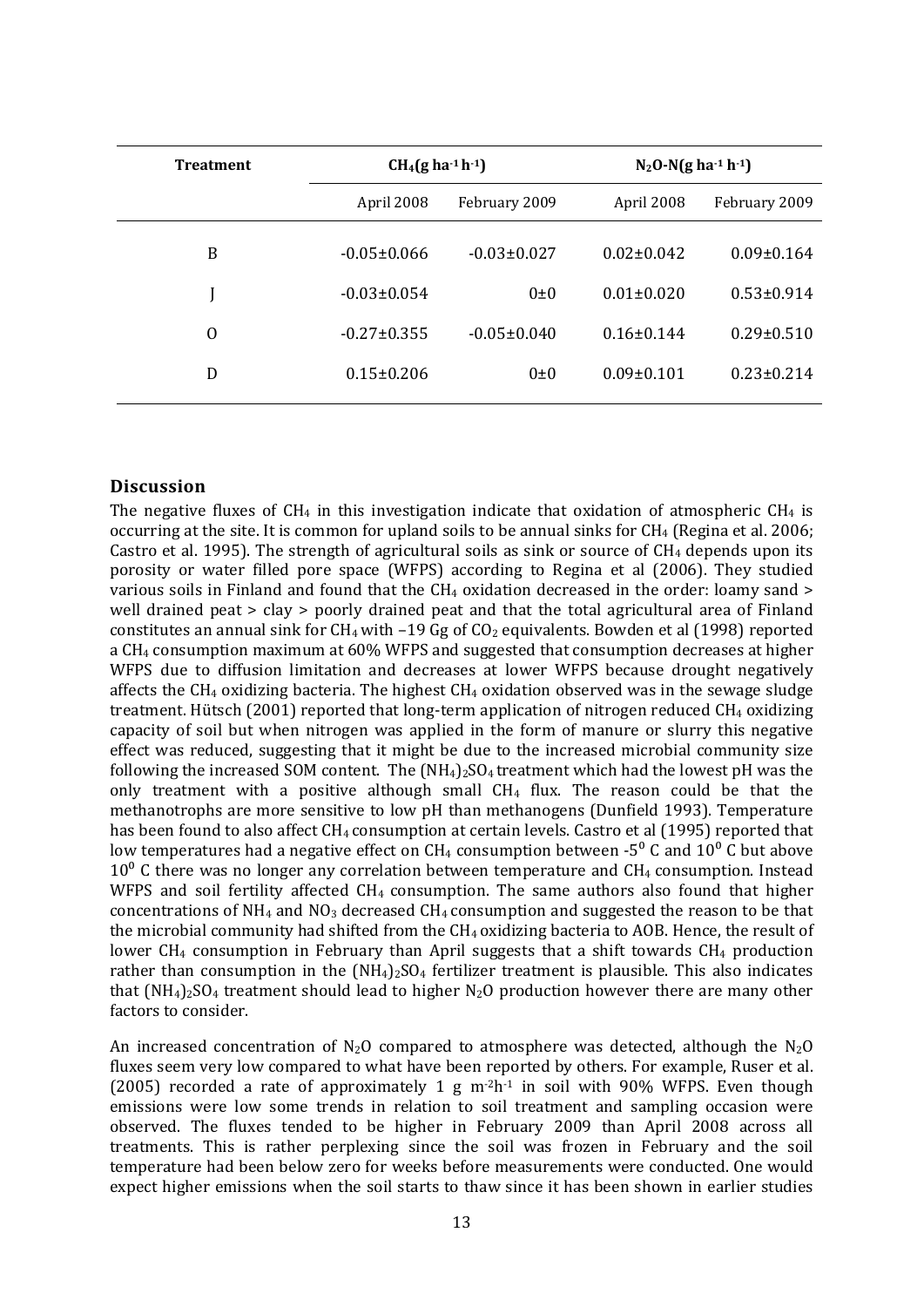| <b>Treatment</b> | $CH_4(g \, ha^{-1} \, h^{-1})$ |                   | $N_2$ O-N(g ha <sup>-1</sup> h <sup>-1</sup> ) |                  |
|------------------|--------------------------------|-------------------|------------------------------------------------|------------------|
|                  | April 2008                     | February 2009     | April 2008                                     | February 2009    |
| B                | $-0.05 \pm 0.066$              | $-0.03 \pm 0.027$ | $0.02 \pm 0.042$                               | $0.09 \pm 0.164$ |
|                  | $-0.03 \pm 0.054$              | $0\pm 0$          | $0.01 \pm 0.020$                               | $0.53 \pm 0.914$ |
| $\Omega$         | $-0.27 \pm 0.355$              | $-0.05 \pm 0.040$ | $0.16 \pm 0.144$                               | $0.29 \pm 0.510$ |
| D                | $0.15 \pm 0.206$               | $0\pm 0$          | $0.09 \pm 0.101$                               | $0.23 \pm 0.214$ |

#### **Discussion**

The negative fluxes of  $CH_4$  in this investigation indicate that oxidation of atmospheric  $CH_4$  is occurring at the site. It is common for upland soils to be annual sinks for CH4 (Regina et al. 2006; Castro et al. 1995). The strength of agricultural soils as sink or source of  $CH<sub>4</sub>$  depends upon its porosity or water filled pore space (WFPS) according to Regina et al (2006). They studied various soils in Finland and found that the CH<sub>4</sub> oxidation decreased in the order: loamy sand > well drained peat > clay > poorly drained peat and that the total agricultural area of Finland constitutes an annual sink for CH<sub>4</sub> with –19 Gg of CO<sub>2</sub> equivalents. Bowden et al (1998) reported a CH4 consumption maximum at 60% WFPS and suggested that consumption decreases at higher WFPS due to diffusion limitation and decreases at lower WFPS because drought negatively affects the  $CH_4$  oxidizing bacteria. The highest  $CH_4$  oxidation observed was in the sewage sludge treatment. Hütsch (2001) reported that long-term application of nitrogen reduced CH<sub>4</sub> oxidizing capacity of soil but when nitrogen was applied in the form of manure or slurry this negative effect was reduced, suggesting that it might be due to the increased microbial community size following the increased SOM content. The  $(NH_4)_2SO_4$  treatment which had the lowest pH was the only treatment with a positive although small  $CH<sub>4</sub>$  flux. The reason could be that the methanotrophs are more sensitive to low pH than methanogens (Dunfield 1993). Temperature has been found to also affect CH<sub>4</sub> consumption at certain levels. Castro et al (1995) reported that low temperatures had a negative effect on CH<sub>4</sub> consumption between -5<sup>0</sup> C and 10<sup>0</sup> C but above  $10<sup>0</sup>$  C there was no longer any correlation between temperature and CH<sub>4</sub> consumption. Instead WFPS and soil fertility affected CH<sub>4</sub> consumption. The same authors also found that higher concentrations of  $NH_4$  and  $NO_3$  decreased CH<sub>4</sub> consumption and suggested the reason to be that the microbial community had shifted from the CH<sub>4</sub> oxidizing bacteria to AOB. Hence, the result of lower  $CH_4$  consumption in February than April suggests that a shift towards  $CH_4$  production rather than consumption in the  $(NH_4)_2SO_4$  fertilizer treatment is plausible. This also indicates that  $(NH_4)_2SO_4$  treatment should lead to higher N<sub>2</sub>O production however there are many other factors to consider.

An increased concentration of  $N_2O$  compared to atmosphere was detected, although the  $N_2O$ fluxes seem very low compared to what have been reported by others. For example, Ruser et al. (2005) recorded a rate of approximately 1  $g$  m<sup>-2h-1</sup> in soil with 90% WFPS. Even though emissions were low some trends in relation to soil treatment and sampling occasion were observed. The fluxes tended to be higher in February 2009 than April 2008 across all treatments. This is rather perplexing since the soil was frozen in February and the soil temperature had been below zero for weeks before measurements were conducted. One would expect higher emissions when the soil starts to thaw since it has been shown in earlier studies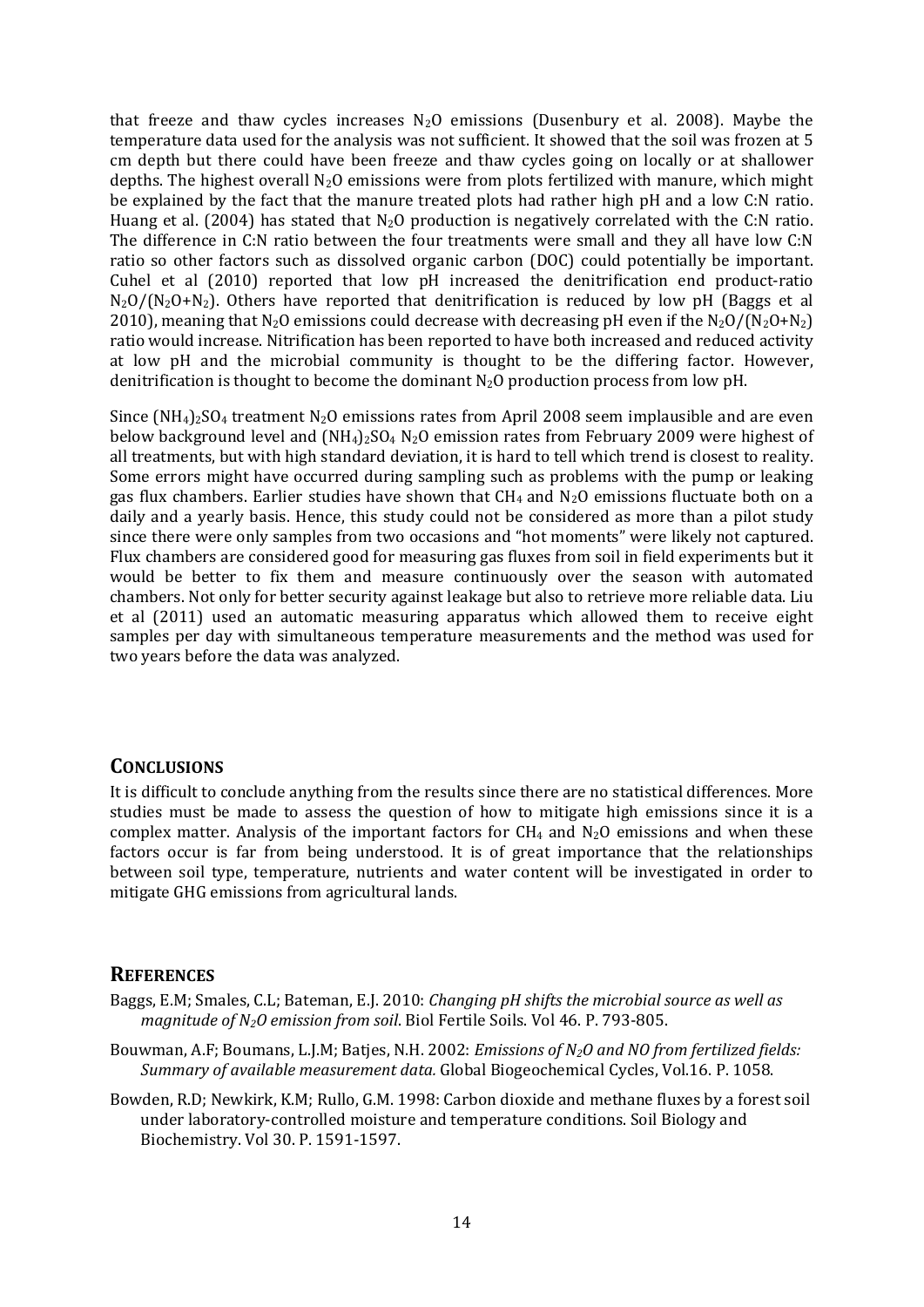that freeze and thaw cycles increases  $N_2O$  emissions (Dusenbury et al. 2008). Maybe the temperature data used for the analysis was not sufficient. It showed that the soil was frozen at 5 cm depth but there could have been freeze and thaw cycles going on locally or at shallower depths. The highest overall  $N_2O$  emissions were from plots fertilized with manure, which might be explained by the fact that the manure treated plots had rather high pH and a low C:N ratio. Huang et al. (2004) has stated that  $N_2O$  production is negatively correlated with the C:N ratio. The difference in C:N ratio between the four treatments were small and they all have low C:N ratio so other factors such as dissolved organic carbon (DOC) could potentially be important. Cuhel et al (2010) reported that low pH increased the denitrification end product-ratio  $N_2O/(N_2O+N_2)$ . Others have reported that denitrification is reduced by low pH (Baggs et al 2010), meaning that  $N_2O$  emissions could decrease with decreasing pH even if the  $N_2O/(N_2O+N_2)$ ratio would increase. Nitrification has been reported to have both increased and reduced activity at low pH and the microbial community is thought to be the differing factor. However, denitrification is thought to become the dominant  $N_2O$  production process from low pH.

Since  $(NH_4)_2SO_4$  treatment N<sub>2</sub>O emissions rates from April 2008 seem implausible and are even below background level and  $(NH_4)_2SO_4$  N<sub>2</sub>O emission rates from February 2009 were highest of all treatments, but with high standard deviation, it is hard to tell which trend is closest to reality. Some errors might have occurred during sampling such as problems with the pump or leaking gas flux chambers. Earlier studies have shown that  $CH_4$  and  $N_2O$  emissions fluctuate both on a daily and a yearly basis. Hence, this study could not be considered as more than a pilot study since there were only samples from two occasions and "hot moments" were likely not captured. Flux chambers are considered good for measuring gas fluxes from soil in field experiments but it would be better to fix them and measure continuously over the season with automated chambers. Not only for better security against leakage but also to retrieve more reliable data. Liu et al  $(2011)$  used an automatic measuring apparatus which allowed them to receive eight samples per day with simultaneous temperature measurements and the method was used for two years before the data was analyzed.

#### **CONCLUSIONS**

It is difficult to conclude anything from the results since there are no statistical differences. More studies must be made to assess the question of how to mitigate high emissions since it is a complex matter. Analysis of the important factors for  $CH_4$  and  $N_2O$  emissions and when these factors occur is far from being understood. It is of great importance that the relationships between soil type, temperature, nutrients and water content will be investigated in order to mitigate GHG emissions from agricultural lands.

#### **REFERENCES**

- Baggs, E.M; Smales, C.L; Bateman, E.J. 2010: *Changing pH shifts the microbial source as well as magnitude of N2O emission from soil*. Biol Fertile Soils. Vol 46. P. 793‐805.
- Bouwman, A.F; Boumans, L.J.M; Batjes, N.H. 2002: *Emissions of N2O and NO from fertilized fields: Summary of available measurement data.* Global Biogeochemical Cycles, Vol.16. P. 1058.
- Bowden, R.D; Newkirk, K.M; Rullo, G.M. 1998: Carbon dioxide and methane fluxes by a forest soil under laboratory‐controlled moisture and temperature conditions. Soil Biology and Biochemistry. Vol 30. P. 1591‐1597.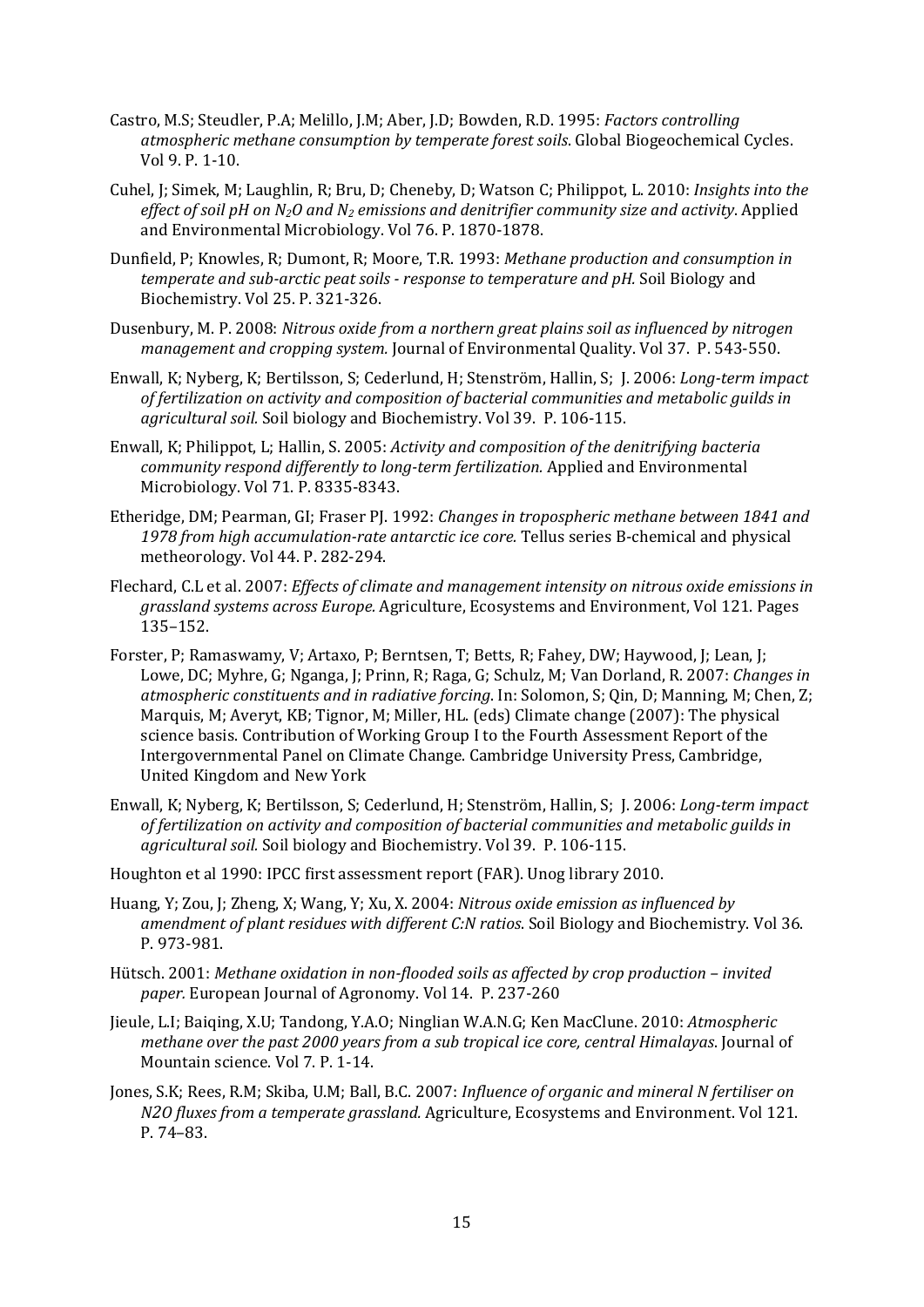- Castro, M.S; Steudler, P.A; Melillo, J.M; Aber, J.D; Bowden, R.D. 1995: *Factors controlling atmospheric methane consumption by temperate forest soils*. Global Biogeochemical Cycles. Vol 9. P. 1‐10.
- Cuhel, J; Simek, M; Laughlin, R; Bru, D; Cheneby, D; Watson C; Philippot, L. 2010: *Insights into the effect of soil pH on N2O and N2 emissions and denitrifier community size and activity*. Applied and Environmental Microbiology. Vol 76. P. 1870‐1878.
- Dunfield, P; Knowles, R; Dumont, R; Moore, T.R. 1993: *Methane production and consumption in temperate and subarctic peat soils response to temperature and pH.* Soil Biology and Biochemistry. Vol 25. P. 321‐326.
- Dusenbury, M. P. 2008: *Nitrous oxide from a northern great plains soil as influenced by nitrogen management and cropping system.* Journal of Environmental Quality. Vol 37. P. 543‐550.
- Enwall, K; Nyberg, K; Bertilsson, S; Cederlund, H; Stenström, Hallin, S; J. 2006: *Longterm impact of fertilization on activity and composition of bacterial communities and metabolic guilds in agricultural soil.* Soil biology and Biochemistry. Vol 39. P. 106‐115.
- Enwall, K; Philippot, L; Hallin, S. 2005: *Activity and composition of the denitrifying bacteria community respond differently to longterm fertilization.* Applied and Environmental Microbiology. Vol 71. P. 8335‐8343.
- Etheridge, DM; Pearman, GI; Fraser PJ. 1992: *Changes in tropospheric methane between 1841 and 1978 from high accumulationrate antarctic ice core.* Tellus series B‐chemical and physical metheorology. Vol 44. P. 282‐294.
- Flechard, C.L et al. 2007: *Effects of climate and management intensity on nitrous oxide emissions in grassland systems across Europe.* Agriculture, Ecosystems and Environment, Vol 121. Pages 135–152.
- Forster, P; Ramaswamy, V; Artaxo, P; Berntsen, T; Betts, R; Fahey, DW; Haywood, J; Lean, J; Lowe, DC; Myhre, G; Nganga, J; Prinn, R; Raga, G; Schulz, M; Van Dorland, R. 2007: *Changes in atmospheric constituents and in radiative forcing*. In: Solomon, S; Qin, D; Manning, M; Chen, Z; Marquis, M; Averyt, KB; Tignor, M; Miller, HL. (eds) Climate change (2007): The physical science basis. Contribution of Working Group I to the Fourth Assessment Report of the Intergovernmental Panel on Climate Change. Cambridge University Press, Cambridge, United Kingdom and New York
- Enwall, K; Nyberg, K; Bertilsson, S; Cederlund, H; Stenström, Hallin, S; J. 2006: *Longterm impact of fertilization on activity and composition of bacterial communities and metabolic guilds in agricultural soil.* Soil biology and Biochemistry. Vol 39. P. 106‐115.
- Houghton et al 1990: IPCC first assessment report (FAR). Unog library 2010.
- Huang, Y; Zou, J; Zheng, X; Wang, Y; Xu, X. 2004: *Nitrous oxide emission as influenced by amendment of plant residues with different C:N ratios*. Soil Biology and Biochemistry. Vol 36. P. 973‐981.
- Hütsch. 2001: *Methane oxidation in nonflooded soils as affected by crop production – invited paper.* European Journal of Agronomy. Vol 14. P. 237‐260
- Jieule, L.I; Baiqing, X.U; Tandong, Y.A.O; Ninglian W.A.N.G; Ken MacClune. 2010: *Atmospheric methane over the past 2000 years from a sub tropical ice core, central Himalayas*. Journal of Mountain science. Vol 7. P. 1‐14.
- Jones, S.K; Rees, R.M; Skiba, U.M; Ball, B.C. 2007: *Influence of organic and mineral N fertiliser on N2O fluxes from a temperate grassland.* Agriculture, Ecosystems and Environment. Vol 121. P. 74–83.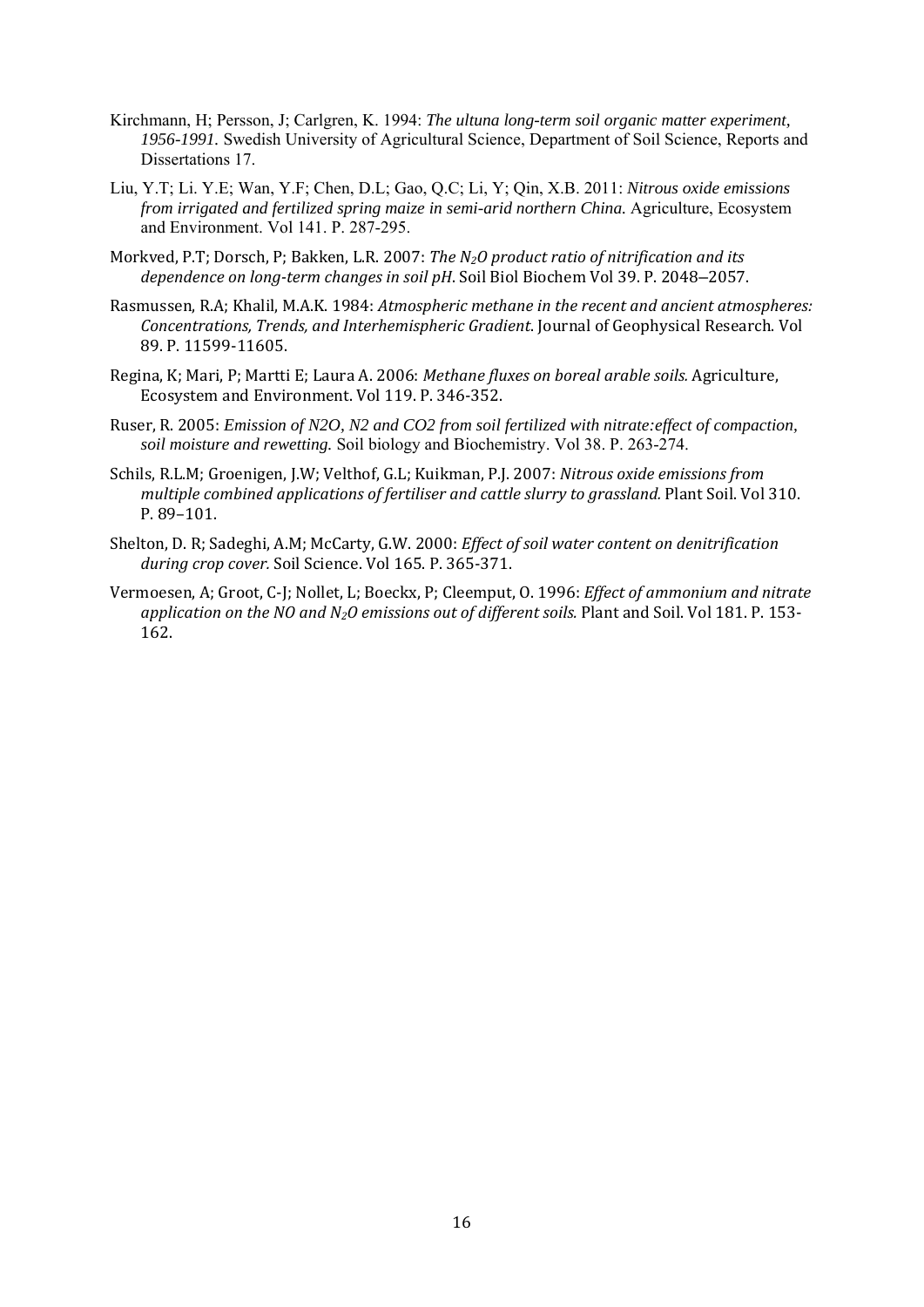- Kirchmann, H; Persson, J; Carlgren, K. 1994: *The ultuna long-term soil organic matter experiment, 1956-1991.* Swedish University of Agricultural Science, Department of Soil Science, Reports and Dissertations 17.
- Liu, Y.T; Li. Y.E; Wan, Y.F; Chen, D.L; Gao, Q.C; Li, Y; Qin, X.B. 2011: *Nitrous oxide emissions from irrigated and fertilized spring maize in semi-arid northern China.* Agriculture, Ecosystem and Environment. Vol 141. P. 287-295.
- Morkved, P.T; Dorsch, P; Bakken, L.R. 2007: *The N2O product ratio of nitrification and its dependence on longterm changes in soil pH*. Soil Biol Biochem Vol 39. P. 2048–2057.
- Rasmussen, R.A; Khalil, M.A.K. 1984: *Atmospheric methane in the recent and ancient atmospheres: Concentrations, Trends, and Interhemispheric Gradient*. Journal of Geophysical Research. Vol 89. P. 11599‐11605.
- Regina, K; Mari, P; Martti E; Laura A. 2006: *Methane fluxes on boreal arable soils.* Agriculture, Ecosystem and Environment. Vol 119. P. 346‐352.
- Ruser, R. 2005: *Emission of N2O, N2 and CO2 from soil fertilized with nitrate:effect of compaction, soil moisture and rewetting.* Soil biology and Biochemistry. Vol 38. P. 263-274.
- Schils, R.L.M; Groenigen, J.W; Velthof, G.L; Kuikman, P.J. 2007: *Nitrous oxide emissions from multiple combined applications of fertiliser and cattle slurry to grassland.* Plant Soil. Vol 310. P. 89–101.
- Shelton, D. R; Sadeghi, A.M; McCarty, G.W. 2000: *Effect of soil water content on denitrification during crop cover.* Soil Science. Vol 165. P. 365‐371.
- Vermoesen, A; Groot, C‐J; Nollet, L; Boeckx, P; Cleemput, O. 1996: *Effect of ammonium and nitrate application on the NO and N2O emissions out of different soils.* Plant and Soil. Vol 181. P. 153‐ 162.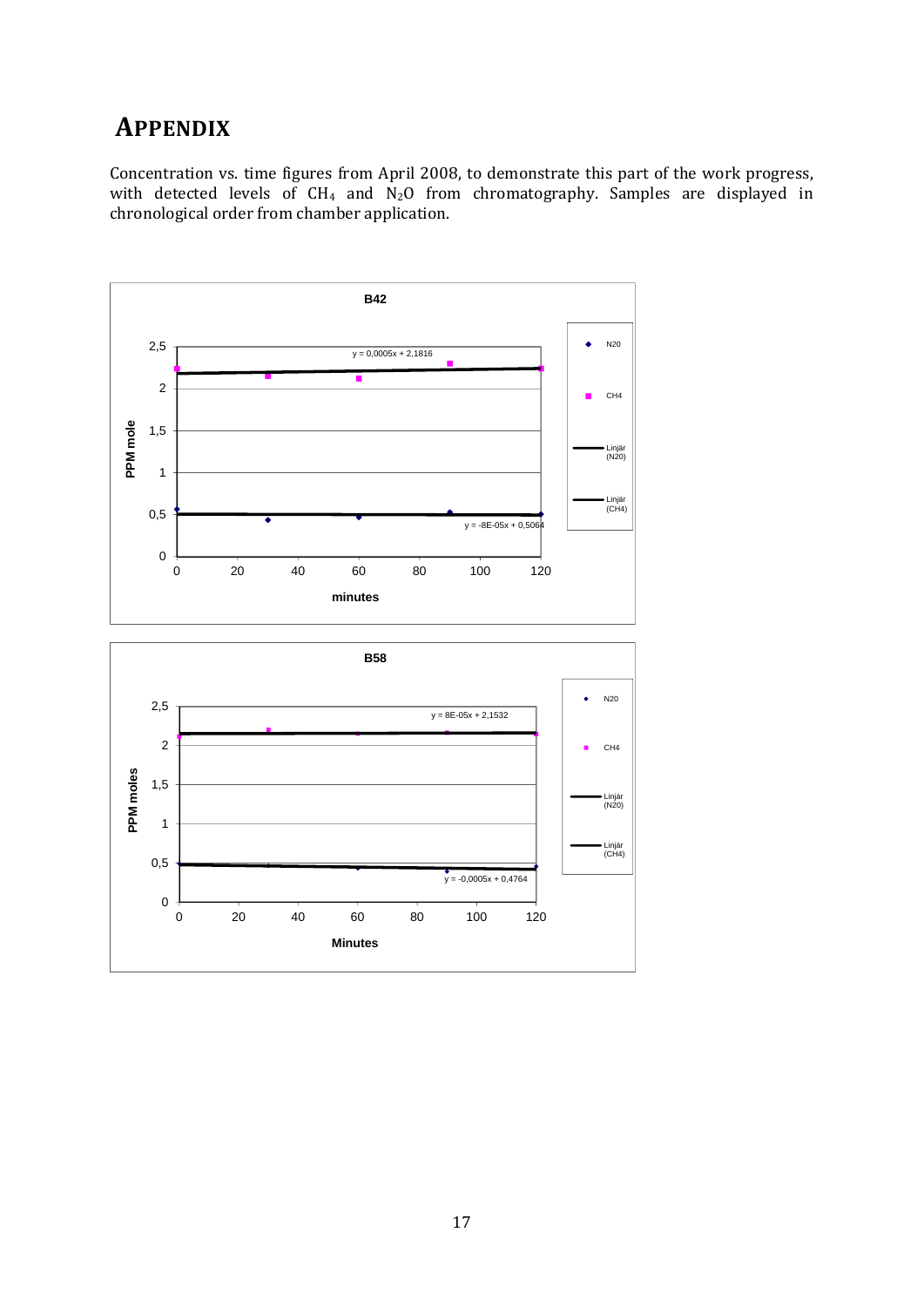# **APPENDIX**

Concentration vs. time figures from April 2008, to demonstrate this part of the work progress, with detected levels of CH<sub>4</sub> and N<sub>2</sub>O from chromatography. Samples are displayed in chronological order from chamber application.

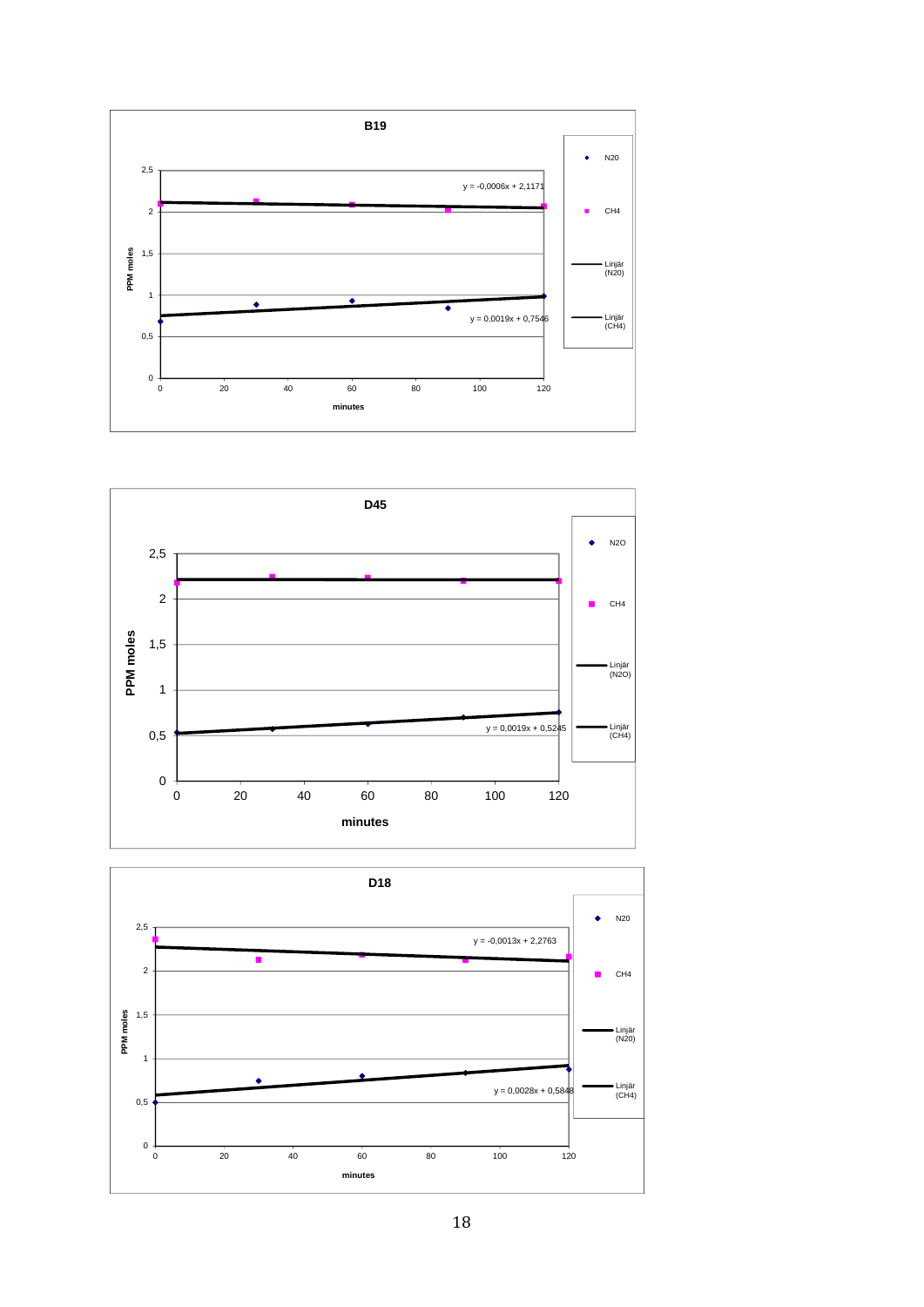



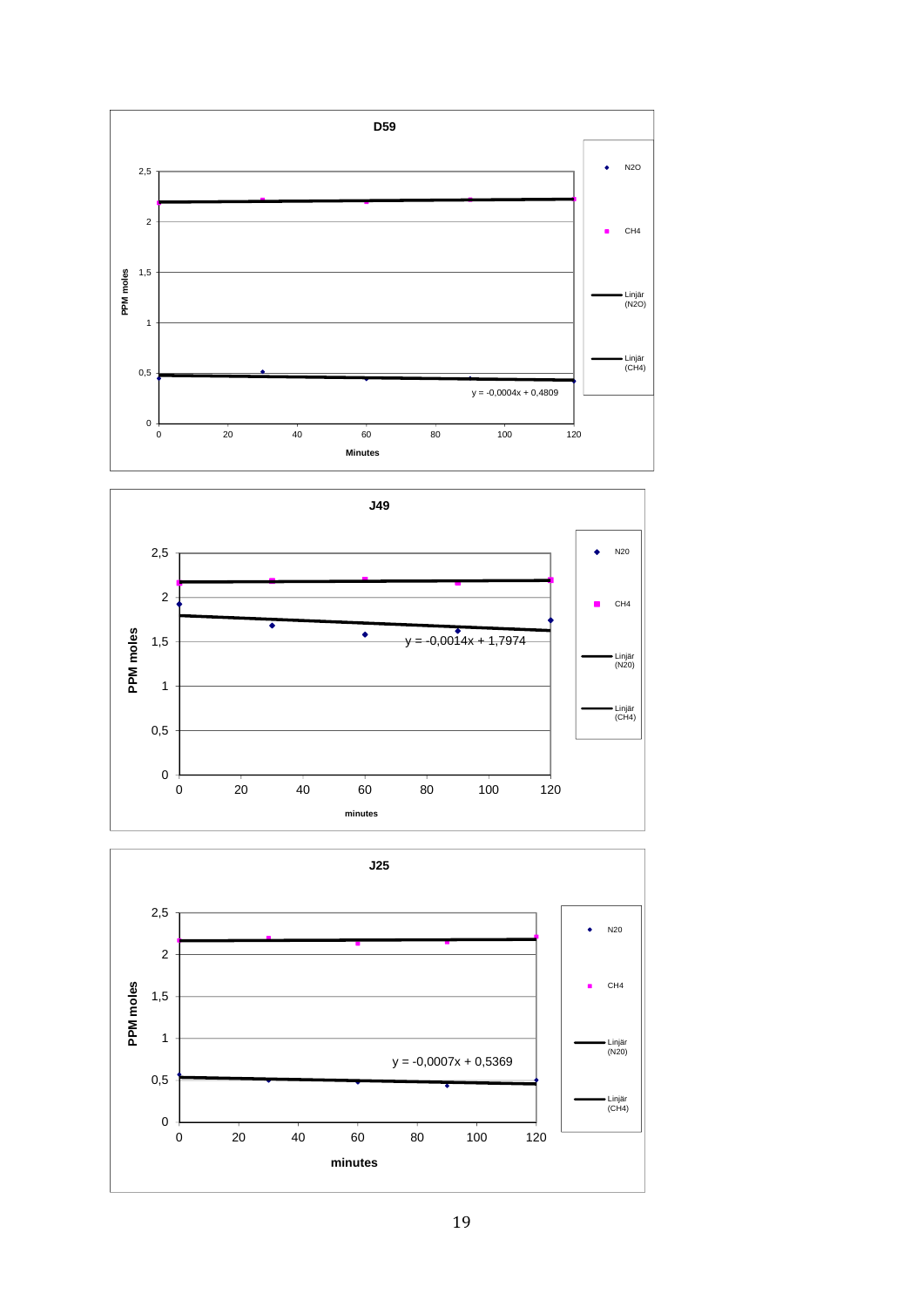



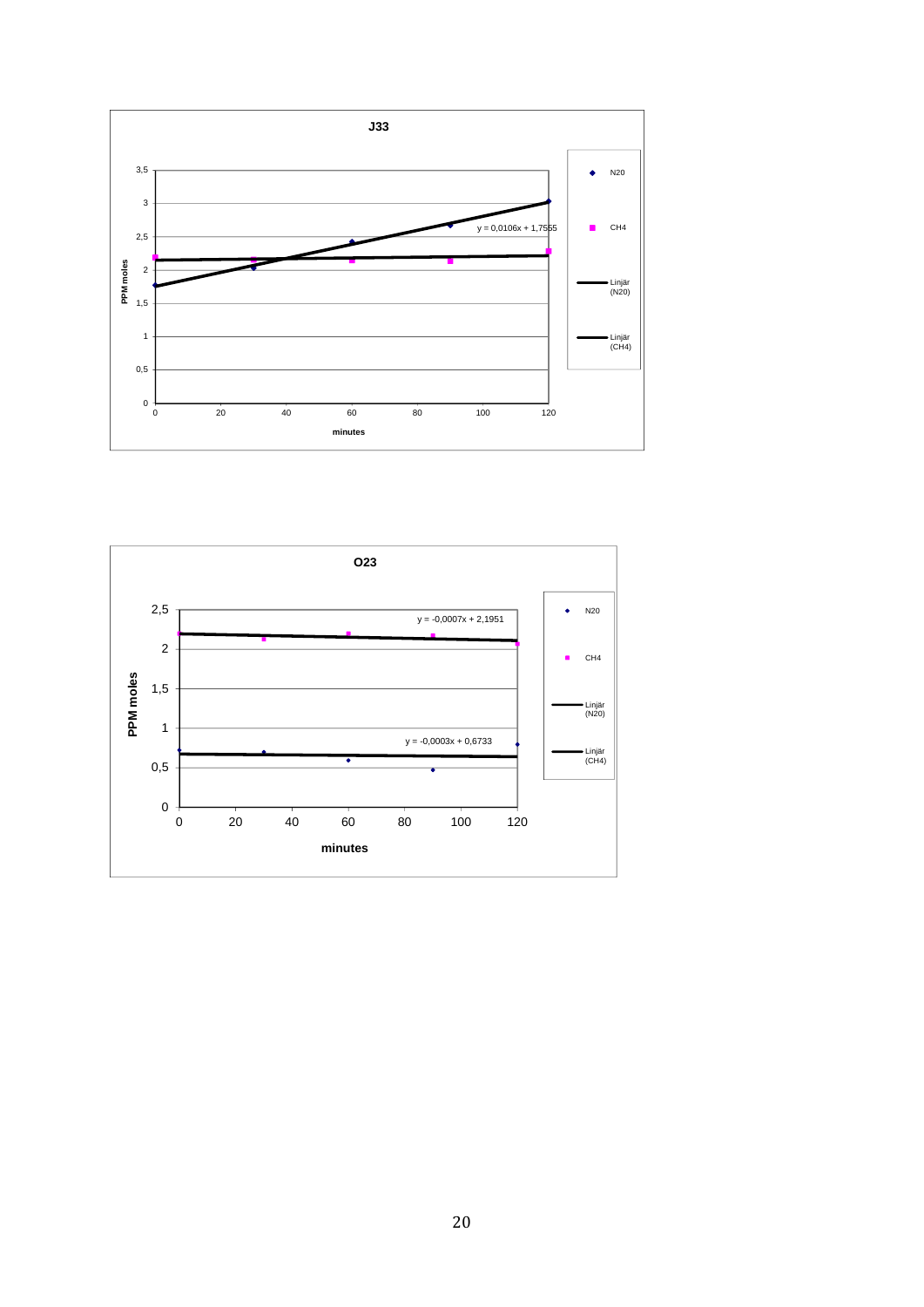